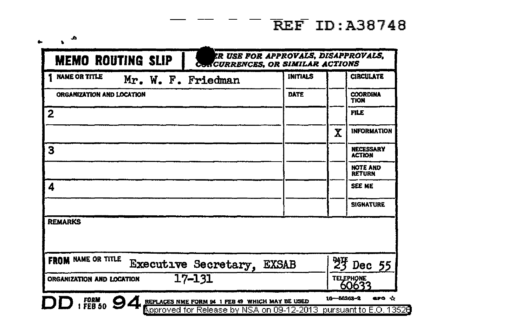## $-$  REF ID: A38748

| <b>NAME OR TITLE</b><br>Mr. W. F. Friedman              | <b>INITIALS</b> |             | <b>CIRCULATE</b>                  |  |
|---------------------------------------------------------|-----------------|-------------|-----------------------------------|--|
| ORGANIZATION AND LOCATION                               | DATE            |             | <b>COORDINA</b><br><b>TION</b>    |  |
| 2                                                       |                 |             | <b>FILE</b>                       |  |
|                                                         |                 | $\mathbf x$ | <b>INFORMATION</b>                |  |
| 3                                                       |                 |             | <b>NECESSARY</b><br><b>ACTION</b> |  |
|                                                         |                 |             | <b>NOTE AND</b><br><b>RETURN</b>  |  |
| 4                                                       |                 |             | SEE ME                            |  |
|                                                         |                 |             | <b>SIGNATURE</b>                  |  |
| <b>REMARKS</b>                                          |                 |             |                                   |  |
| <b>FROM NAME OR TITLE</b><br>Executive Secretary, EXSAB |                 |             | $25$ Dec $55$                     |  |
| $17 - 131$<br>ORGANIZATION AND LOCATION                 |                 |             | <b>TELEPHONE</b><br>60633         |  |

..